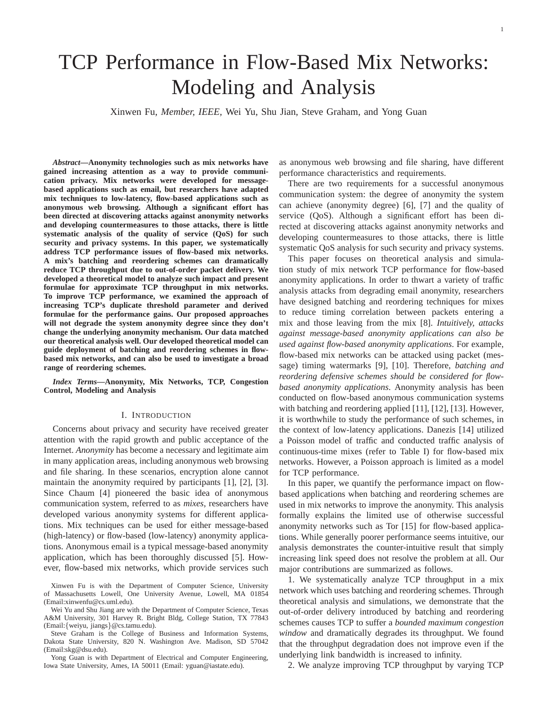# TCP Performance in Flow-Based Mix Networks: Modeling and Analysis

Xinwen Fu, *Member, IEEE,* Wei Yu, Shu Jian, Steve Graham, and Yong Guan

*Abstract***—Anonymity technologies such as mix networks have gained increasing attention as a way to provide communication privacy. Mix networks were developed for messagebased applications such as email, but researchers have adapted mix techniques to low-latency, flow-based applications such as anonymous web browsing. Although a significant effort has been directed at discovering attacks against anonymity networks and developing countermeasures to those attacks, there is little systematic analysis of the quality of service (QoS) for such security and privacy systems. In this paper, we systematically address TCP performance issues of flow-based mix networks. A mix's batching and reordering schemes can dramatically reduce TCP throughput due to out-of-order packet delivery. We developed a theoretical model to analyze such impact and present formulae for approximate TCP throughput in mix networks. To improve TCP performance, we examined the approach of increasing TCP's duplicate threshold parameter and derived formulae for the performance gains. Our proposed approaches will not degrade the system anonymity degree since they don't change the underlying anonymity mechanism. Our data matched our theoretical analysis well. Our developed theoretical model can guide deployment of batching and reordering schemes in flowbased mix networks, and can also be used to investigate a broad range of reordering schemes.**

*Index Terms***—Anonymity, Mix Networks, TCP, Congestion Control, Modeling and Analysis**

#### I. INTRODUCTION

Concerns about privacy and security have received greater attention with the rapid growth and public acceptance of the Internet. *Anonymity* has become a necessary and legitimate aim in many application areas, including anonymous web browsing and file sharing. In these scenarios, encryption alone cannot maintain the anonymity required by participants [1], [2], [3]. Since Chaum [4] pioneered the basic idea of anonymous communication system, referred to as *mixes*, researchers have developed various anonymity systems for different applications. Mix techniques can be used for either message-based (high-latency) or flow-based (low-latency) anonymity applications. Anonymous email is a typical message-based anonymity application, which has been thoroughly discussed [5]. However, flow-based mix networks, which provide services such

Xinwen Fu is with the Department of Computer Science, University of Massachusetts Lowell, One University Avenue, Lowell, MA 01854 (Email:xinwenfu@cs.uml.edu).

Wei Yu and Shu Jiang are with the Department of Computer Science, Texas A&M University, 301 Harvey R. Bright Bldg, College Station, TX 77843 (Email:{weiyu, jiangs}@cs.tamu.edu).

Steve Graham is the College of Business and Information Systems, Dakota State University, 820 N. Washington Ave. Madison, SD 57042 (Email:skg@dsu.edu).

Yong Guan is with Department of Electrical and Computer Engineering. Iowa State University, Ames, IA 50011 (Email: yguan@iastate.edu).

as anonymous web browsing and file sharing, have different performance characteristics and requirements.

There are two requirements for a successful anonymous communication system: the degree of anonymity the system can achieve (anonymity degree) [6], [7] and the quality of service (QoS). Although a significant effort has been directed at discovering attacks against anonymity networks and developing countermeasures to those attacks, there is little systematic QoS analysis for such security and privacy systems.

This paper focuses on theoretical analysis and simulation study of mix network TCP performance for flow-based anonymity applications. In order to thwart a variety of traffic analysis attacks from degrading email anonymity, researchers have designed batching and reordering techniques for mixes to reduce timing correlation between packets entering a mix and those leaving from the mix [8]. *Intuitively, attacks against message-based anonymity applications can also be used against flow-based anonymity applications*. For example, flow-based mix networks can be attacked using packet (message) timing watermarks [9], [10]. Therefore, *batching and reordering defensive schemes should be considered for flowbased anonymity applications*. Anonymity analysis has been conducted on flow-based anonymous communication systems with batching and reordering applied [11], [12], [13]. However, it is worthwhile to study the performance of such schemes, in the context of low-latency applications. Danezis [14] utilized a Poisson model of traffic and conducted traffic analysis of continuous-time mixes (refer to Table I) for flow-based mix networks. However, a Poisson approach is limited as a model for TCP performance.

In this paper, we quantify the performance impact on flowbased applications when batching and reordering schemes are used in mix networks to improve the anonymity. This analysis formally explains the limited use of otherwise successful anonymity networks such as Tor [15] for flow-based applications. While generally poorer performance seems intuitive, our analysis demonstrates the counter-intuitive result that simply increasing link speed does not resolve the problem at all. Our major contributions are summarized as follows.

1. We systematically analyze TCP throughput in a mix network which uses batching and reordering schemes. Through theoretical analysis and simulations, we demonstrate that the out-of-order delivery introduced by batching and reordering schemes causes TCP to suffer a *bounded maximum congestion window* and dramatically degrades its throughput. We found that the throughput degradation does not improve even if the underlying link bandwidth is increased to infinity.

2. We analyze improving TCP throughput by varying TCP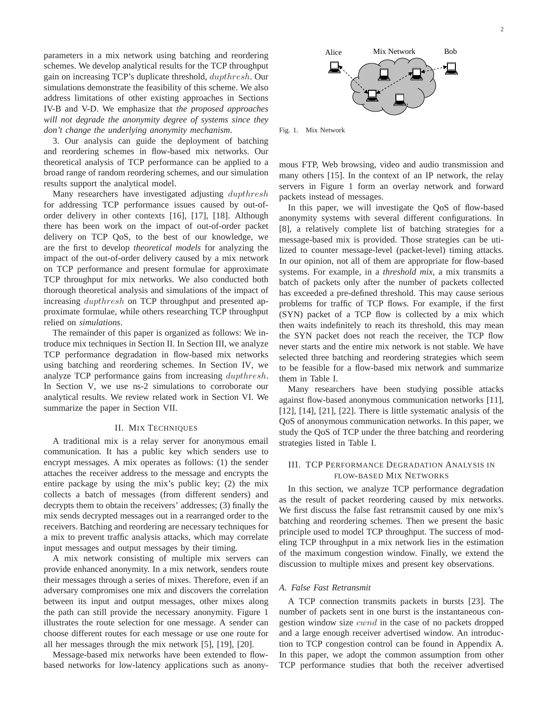parameters in a mix network using batching and reordering schemes. We develop analytical results for the TCP throughput gain on increasing TCP's duplicate threshold, dupthresh. Our simulations demonstrate the feasibility of this scheme. We also address limitations of other existing approaches in Sections IV-B and V-D. We emphasize that *the proposed approaches will not degrade the anonymity degree of systems since they don't change the underlying anonymity mechanism*.

3. Our analysis can guide the deployment of batching and reordering schemes in flow-based mix networks. Our theoretical analysis of TCP performance can be applied to a broad range of random reordering schemes, and our simulation results support the analytical model.

Many researchers have investigated adjusting *dupthresh* for addressing TCP performance issues caused by out-oforder delivery in other contexts [16], [17], [18]. Although there has been work on the impact of out-of-order packet delivery on TCP QoS, to the best of our knowledge, we are the first to develop *theoretical models* for analyzing the impact of the out-of-order delivery caused by a mix network on TCP performance and present formulae for approximate TCP throughput for mix networks. We also conducted both thorough theoretical analysis and simulations of the impact of increasing *dupthresh* on TCP throughput and presented approximate formulae, while others researching TCP throughput relied on *simulations*.

The remainder of this paper is organized as follows: We introduce mix techniques in Section II. In Section III, we analyze TCP performance degradation in flow-based mix networks using batching and reordering schemes. In Section IV, we analyze TCP performance gains from increasing dupthresh. In Section V, we use ns-2 simulations to corroborate our analytical results. We review related work in Section VI. We summarize the paper in Section VII.

## II. MIX TECHNIQUES

A traditional mix is a relay server for anonymous email communication. It has a public key which senders use to encrypt messages. A mix operates as follows: (1) the sender attaches the receiver address to the message and encrypts the entire package by using the mix's public key; (2) the mix collects a batch of messages (from different senders) and decrypts them to obtain the receivers' addresses; (3) finally the mix sends decrypted messages out in a rearranged order to the receivers. Batching and reordering are necessary techniques for a mix to prevent traffic analysis attacks, which may correlate input messages and output messages by their timing.

A mix network consisting of multiple mix servers can provide enhanced anonymity. In a mix network, senders route their messages through a series of mixes. Therefore, even if an adversary compromises one mix and discovers the correlation between its input and output messages, other mixes along the path can still provide the necessary anonymity. Figure 1 illustrates the route selection for one message. A sender can choose different routes for each message or use one route for all her messages through the mix network [5], [19], [20].

Message-based mix networks have been extended to flowbased networks for low-latency applications such as anony-



Fig. 1. Mix Network

mous FTP, Web browsing, video and audio transmission and many others [15]. In the context of an IP network, the relay servers in Figure 1 form an overlay network and forward packets instead of messages.

In this paper, we will investigate the QoS of flow-based anonymity systems with several different configurations. In [8], a relatively complete list of batching strategies for a message-based mix is provided. Those strategies can be utilized to counter message-level (packet-level) timing attacks. In our opinion, not all of them are appropriate for flow-based systems. For example, in a *threshold mix*, a mix transmits a batch of packets only after the number of packets collected has exceeded a pre-defined threshold. This may cause serious problems for traffic of TCP flows. For example, if the first (SYN) packet of a TCP flow is collected by a mix which then waits indefinitely to reach its threshold, this may mean the SYN packet does not reach the receiver, the TCP flow never starts and the entire mix network is not stable. We have selected three batching and reordering strategies which seem to be feasible for a flow-based mix network and summarize them in Table I.

Many researchers have been studying possible attacks against flow-based anonymous communication networks [11], [12], [14], [21], [22]. There is little systematic analysis of the QoS of anonymous communication networks. In this paper, we study the QoS of TCP under the three batching and reordering strategies listed in Table I.

# III. TCP PERFORMANCE DEGRADATION ANALYSIS IN FLOW-BASED MIX NETWORKS

In this section, we analyze TCP performance degradation as the result of packet reordering caused by mix networks. We first discuss the false fast retransmit caused by one mix's batching and reordering schemes. Then we present the basic principle used to model TCP throughput. The success of modeling TCP throughput in a mix network lies in the estimation of the maximum congestion window. Finally, we extend the discussion to multiple mixes and present key observations.

#### *A. False Fast Retransmit*

A TCP connection transmits packets in bursts [23]. The number of packets sent in one burst is the instantaneous congestion window size cwnd in the case of no packets dropped and a large enough receiver advertised window. An introduction to TCP congestion control can be found in Appendix A. In this paper, we adopt the common assumption from other TCP performance studies that both the receiver advertised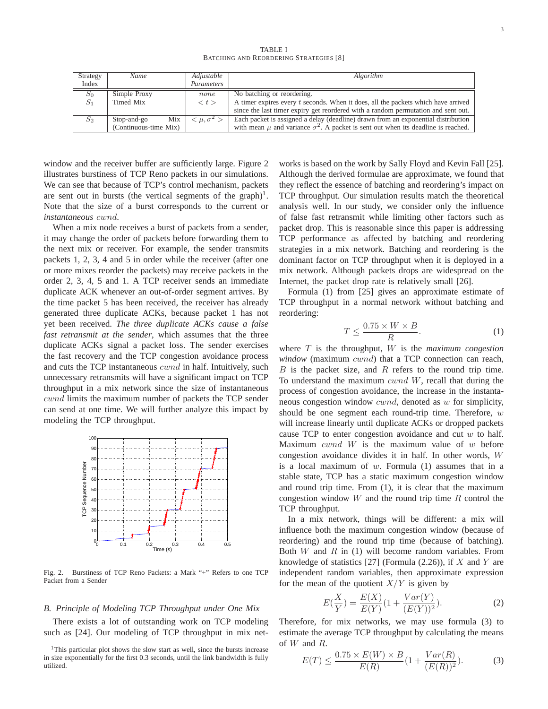TABLE I BATCHING AND REORDERING STRATEGIES [8]

| Strategy | Name                  | Adjustable          | Algorithm                                                                                    |
|----------|-----------------------|---------------------|----------------------------------------------------------------------------------------------|
| Index    |                       | Parameters          |                                                                                              |
| $S_0$    | Simple Proxy          | none                | No batching or reordering.                                                                   |
| $S_1$    | Timed Mix             | $\langle t \rangle$ | A timer expires every t seconds. When it does, all the packets which have arrived            |
|          |                       |                     | since the last timer expiry get reordered with a random permutation and sent out.            |
| $S_2$    | Mix<br>Stop-and-go    | $<\mu,\sigma^2>$    | Each packet is assigned a delay (deadline) drawn from an exponential distribution            |
|          | (Continuous-time Mix) |                     | with mean $\mu$ and variance $\sigma^2$ . A packet is sent out when its deadline is reached. |

window and the receiver buffer are sufficiently large. Figure 2 illustrates burstiness of TCP Reno packets in our simulations. We can see that because of TCP's control mechanism, packets are sent out in bursts (the vertical segments of the graph)<sup>1</sup>. Note that the size of a burst corresponds to the current or *instantaneous* cwnd.

When a mix node receives a burst of packets from a sender, it may change the order of packets before forwarding them to the next mix or receiver. For example, the sender transmits packets 1, 2, 3, 4 and 5 in order while the receiver (after one or more mixes reorder the packets) may receive packets in the order 2, 3, 4, 5 and 1. A TCP receiver sends an immediate duplicate ACK whenever an out-of-order segment arrives. By the time packet 5 has been received, the receiver has already generated three duplicate ACKs, because packet 1 has not yet been received. *The three duplicate ACKs cause a false fast retransmit at the sender*, which assumes that the three duplicate ACKs signal a packet loss. The sender exercises the fast recovery and the TCP congestion avoidance process and cuts the TCP instantaneous cwnd in half. Intuitively, such unnecessary retransmits will have a significant impact on TCP throughput in a mix network since the size of instantaneous cwnd limits the maximum number of packets the TCP sender can send at one time. We will further analyze this impact by modeling the TCP throughput.



Fig. 2. Burstiness of TCP Reno Packets: a Mark "+" Refers to one TCP Packet from a Sender

#### *B. Principle of Modeling TCP Throughput under One Mix*

There exists a lot of outstanding work on TCP modeling such as [24]. Our modeling of TCP throughput in mix networks is based on the work by Sally Floyd and Kevin Fall [25]. Although the derived formulae are approximate, we found that they reflect the essence of batching and reordering's impact on TCP throughput. Our simulation results match the theoretical analysis well. In our study, we consider only the influence of false fast retransmit while limiting other factors such as packet drop. This is reasonable since this paper is addressing TCP performance as affected by batching and reordering strategies in a mix network. Batching and reordering is the dominant factor on TCP throughput when it is deployed in a mix network. Although packets drops are widespread on the Internet, the packet drop rate is relatively small [26].

Formula (1) from [25] gives an approximate estimate of TCP throughput in a normal network without batching and reordering:

$$
T \le \frac{0.75 \times W \times B}{R}.\tag{1}
$$

where T is the throughput, W is the *maximum congestion window* (maximum *cwnd*) that a TCP connection can reach,  $B$  is the packet size, and  $R$  refers to the round trip time. To understand the maximum  $cwnd$  W, recall that during the process of congestion avoidance, the increase in the instantaneous congestion window cwnd, denoted as w for simplicity, should be one segment each round-trip time. Therefore,  $w$ will increase linearly until duplicate ACKs or dropped packets cause TCP to enter congestion avoidance and cut  $w$  to half. Maximum  $cwnd$  W is the maximum value of  $w$  before congestion avoidance divides it in half. In other words, W is a local maximum of  $w$ . Formula  $(1)$  assumes that in a stable state, TCP has a static maximum congestion window and round trip time. From (1), it is clear that the maximum congestion window  $W$  and the round trip time  $R$  control the TCP throughput.

In a mix network, things will be different: a mix will influence both the maximum congestion window (because of reordering) and the round trip time (because of batching). Both  $W$  and  $R$  in (1) will become random variables. From knowledge of statistics [27] (Formula  $(2.26)$ ), if X and Y are independent random variables, then approximate expression for the mean of the quotient  $X/Y$  is given by

$$
E(\frac{X}{Y}) = \frac{E(X)}{E(Y)}(1 + \frac{Var(Y)}{(E(Y))^2}).
$$
 (2)

Therefore, for mix networks, we may use formula (3) to estimate the average TCP throughput by calculating the means of  $W$  and  $R$ .

$$
E(T) \le \frac{0.75 \times E(W) \times B}{E(R)} (1 + \frac{Var(R)}{(E(R))^2}).
$$
 (3)

<sup>&</sup>lt;sup>1</sup>This particular plot shows the slow start as well, since the bursts increase in size exponentially for the first 0.3 seconds, until the link bandwidth is fully utilized.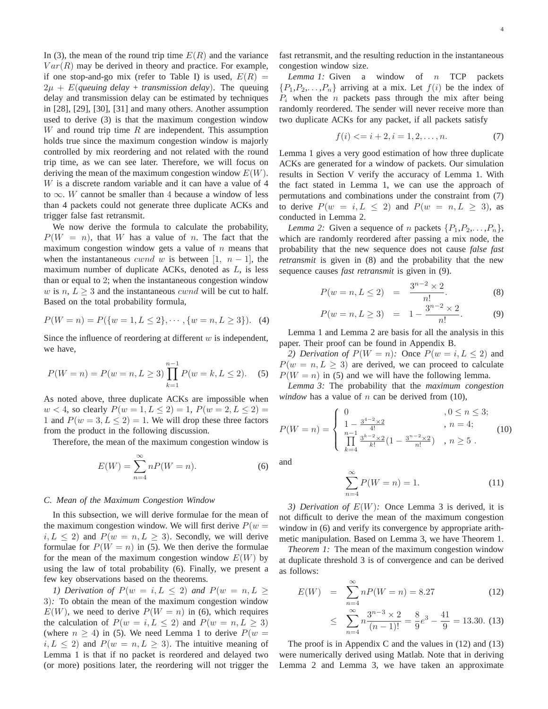In (3), the mean of the round trip time  $E(R)$  and the variance  $Var(R)$  may be derived in theory and practice. For example, if one stop-and-go mix (refer to Table I) is used,  $E(R) =$  $2\mu + E$ (*queuing delay + transmission delay*). The queuing delay and transmission delay can be estimated by techniques in [28], [29], [30], [31] and many others. Another assumption used to derive (3) is that the maximum congestion window  $W$  and round trip time  $R$  are independent. This assumption holds true since the maximum congestion window is majorly controlled by mix reordering and not related with the round trip time, as we can see later. Therefore, we will focus on deriving the mean of the maximum congestion window  $E(W)$ . W is a discrete random variable and it can have a value of 4 to  $\infty$ . W cannot be smaller than 4 because a window of less than 4 packets could not generate three duplicate ACKs and trigger false fast retransmit.

We now derive the formula to calculate the probability,  $P(W = n)$ , that W has a value of n. The fact that the maximum congestion window gets a value of  $n$  means that when the instantaneous *cwnd w* is between [1,  $n - 1$ ], the maximum number of duplicate ACKs, denoted as L, is less than or equal to 2; when the instantaneous congestion window w is  $n, L \geq 3$  and the instantaneous *cwnd* will be cut to half. Based on the total probability formula,

$$
P(W = n) = P({w = 1, L \le 2}, \cdots, {w = n, L \ge 3}).
$$
 (4)

Since the influence of reordering at different  $w$  is independent, we have,

$$
P(W = n) = P(w = n, L \ge 3) \prod_{k=1}^{n-1} P(w = k, L \le 2).
$$
 (5)

As noted above, three duplicate ACKs are impossible when  $w < 4$ , so clearly  $P(w = 1, L \le 2) = 1$ ,  $P(w = 2, L \le 2) =$ 1 and  $P(w = 3, L \le 2) = 1$ . We will drop these three factors from the product in the following discussion.

Therefore, the mean of the maximum congestion window is

$$
E(W) = \sum_{n=4}^{\infty} nP(W = n).
$$
 (6)

# *C. Mean of the Maximum Congestion Window*

In this subsection, we will derive formulae for the mean of the maximum congestion window. We will first derive  $P(w =$  $i, L \leq 2$ ) and  $P(w = n, L \geq 3)$ . Secondly, we will derive formulae for  $P(W = n)$  in (5). We then derive the formulae for the mean of the maximum congestion window  $E(W)$  by using the law of total probability (6). Finally, we present a few key observations based on the theorems.

*1) Derivation of*  $P(w = i, L \le 2)$  *and*  $P(w = n, L \ge 1)$ 3)*:* To obtain the mean of the maximum congestion window  $E(W)$ , we need to derive  $P(W = n)$  in (6), which requires the calculation of  $P(w = i, L \le 2)$  and  $P(w = n, L \ge 3)$ (where  $n \geq 4$ ) in (5). We need Lemma 1 to derive  $P(w = 1)$  $i, L \leq 2$ ) and  $P(w = n, L \geq 3)$ . The intuitive meaning of Lemma 1 is that if no packet is reordered and delayed two (or more) positions later, the reordering will not trigger the fast retransmit, and the resulting reduction in the instantaneous congestion window size.

*Lemma 1:* Given a window of *n* TCP packets  $\{P_1, P_2, \ldots, P_n\}$  arriving at a mix. Let  $f(i)$  be the index of  $P_i$  when the *n* packets pass through the mix after being randomly reordered. The sender will never receive more than two duplicate ACKs for any packet, if all packets satisfy

$$
f(i) \le i + 2, i = 1, 2, \dots, n. \tag{7}
$$

Lemma 1 gives a very good estimation of how three duplicate ACKs are generated for a window of packets. Our simulation results in Section V verify the accuracy of Lemma 1. With the fact stated in Lemma 1, we can use the approach of permutations and combinations under the constraint from (7) to derive  $P(w = i, L \le 2)$  and  $P(w = n, L \ge 3)$ , as conducted in Lemma 2.

*Lemma 2:* Given a sequence of n packets  $\{P_1, P_2, \ldots, P_n\}$ , which are randomly reordered after passing a mix node, the probability that the new sequence does not cause *false fast retransmit* is given in (8) and the probability that the new sequence causes *fast retransmit* is given in (9).

$$
P(w = n, L \le 2) = \frac{3^{n-2} \times 2}{n!}.
$$
 (8)

$$
P(w = n, L \ge 3) = 1 - \frac{3^{n-2} \times 2}{n!}.
$$
 (9)

Lemma 1 and Lemma 2 are basis for all the analysis in this paper. Their proof can be found in Appendix B.

*2) Derivation of*  $P(W = n)$ : Once  $P(w = i, L \le 2)$  and  $P(w = n, L \ge 3)$  are derived, we can proceed to calculate  $P(W = n)$  in (5) and we will have the following lemma.

*Lemma 3:* The probability that the *maximum congestion window* has a value of *n* can be derived from  $(10)$ ,

$$
P(W = n) = \begin{cases} 0 & , 0 \le n \le 3; \\ 1 - \frac{3^{4-2} \times 2}{4!} & , n = 4; \\ \prod_{k=4}^{n-1} \frac{3^{k-2} \times 2}{k!} (1 - \frac{3^{n-2} \times 2}{n!}) & , n \ge 5. \end{cases}
$$
(10)

and

$$
\sum_{n=4}^{\infty} P(W = n) = 1.
$$
 (11)

*3) Derivation of* E(W)*:* Once Lemma 3 is derived, it is not difficult to derive the mean of the maximum congestion window in  $(6)$  and verify its convergence by appropriate arithmetic manipulation. Based on Lemma 3, we have Theorem 1.

*Theorem 1:* The mean of the maximum congestion window at duplicate threshold 3 is of convergence and can be derived as follows:

$$
E(W) = \sum_{n=4}^{\infty} nP(W = n) = 8.27
$$
 (12)

$$
\leq \sum_{n=4}^{\infty} n \frac{3^{n-3} \times 2}{(n-1)!} = \frac{8}{9} e^3 - \frac{41}{9} = 13.30. \tag{13}
$$

The proof is in Appendix C and the values in (12) and (13) were numerically derived using Matlab. Note that in deriving Lemma 2 and Lemma 3, we have taken an approximate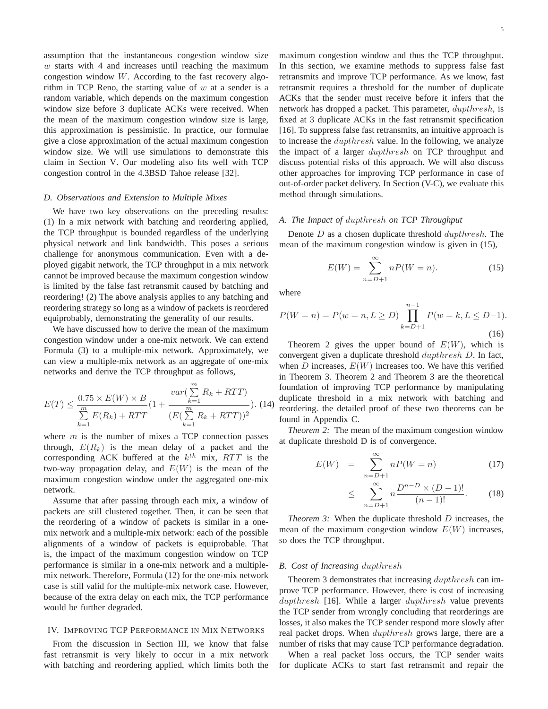assumption that the instantaneous congestion window size  $w$  starts with 4 and increases until reaching the maximum congestion window W. According to the fast recovery algorithm in TCP Reno, the starting value of  $w$  at a sender is a random variable, which depends on the maximum congestion window size before 3 duplicate ACKs were received. When the mean of the maximum congestion window size is large, this approximation is pessimistic. In practice, our formulae give a close approximation of the actual maximum congestion window size. We will use simulations to demonstrate this claim in Section V. Our modeling also fits well with TCP congestion control in the 4.3BSD Tahoe release [32].

#### *D. Observations and Extension to Multiple Mixes*

We have two key observations on the preceding results: (1) In a mix network with batching and reordering applied, the TCP throughput is bounded regardless of the underlying physical network and link bandwidth. This poses a serious challenge for anonymous communication. Even with a deployed gigabit network, the TCP throughput in a mix network cannot be improved because the maximum congestion window is limited by the false fast retransmit caused by batching and reordering! (2) The above analysis applies to any batching and reordering strategy so long as a window of packets is reordered equiprobably, demonstrating the generality of our results.

We have discussed how to derive the mean of the maximum congestion window under a one-mix network. We can extend Formula (3) to a multiple-mix network. Approximately, we can view a multiple-mix network as an aggregate of one-mix networks and derive the TCP throughput as follows,

$$
E(T) \leq \frac{0.75 \times E(W) \times B}{\sum_{k=1}^{m} E(R_k) + RTT} \left(1 + \frac{\frac{var(\sum_{k=1}^{m} R_k + RTT)}{\sum_{k=1}^{m} R_k + RTT})}{\left(E(\sum_{k=1}^{m} R_k + RTT)\right)^2}\right).
$$
 (14)

where  $m$  is the number of mixes a TCP connection passes through,  $E(R_k)$  is the mean delay of a packet and the corresponding ACK buffered at the  $k^{th}$  mix,  $RTT$  is the two-way propagation delay, and  $E(W)$  is the mean of the maximum congestion window under the aggregated one-mix network.

Assume that after passing through each mix, a window of packets are still clustered together. Then, it can be seen that the reordering of a window of packets is similar in a onemix network and a multiple-mix network: each of the possible alignments of a window of packets is equiprobable. That is, the impact of the maximum congestion window on TCP performance is similar in a one-mix network and a multiplemix network. Therefore, Formula (12) for the one-mix network case is still valid for the multiple-mix network case. However, because of the extra delay on each mix, the TCP performance would be further degraded.

## IV. IMPROVING TCP PERFORMANCE IN MIX NETWORKS

From the discussion in Section III, we know that false fast retransmit is very likely to occur in a mix network with batching and reordering applied, which limits both the maximum congestion window and thus the TCP throughput. In this section, we examine methods to suppress false fast retransmits and improve TCP performance. As we know, fast retransmit requires a threshold for the number of duplicate ACKs that the sender must receive before it infers that the network has dropped a packet. This parameter, dupthresh, is fixed at 3 duplicate ACKs in the fast retransmit specification [16]. To suppress false fast retransmits, an intuitive approach is to increase the dupthresh value. In the following, we analyze the impact of a larger dupthresh on TCP throughput and discuss potential risks of this approach. We will also discuss other approaches for improving TCP performance in case of out-of-order packet delivery. In Section (V-C), we evaluate this

## *A. The Impact of* dupthresh *on TCP Throughput*

method through simulations.

Denote D as a chosen duplicate threshold dupthresh. The mean of the maximum congestion window is given in (15),

$$
E(W) = \sum_{n=D+1}^{\infty} nP(W = n).
$$
 (15)

where

$$
P(W = n) = P(w = n, L \ge D) \prod_{k=D+1}^{n-1} P(w = k, L \le D-1).
$$
\n(16)

Theorem 2 gives the upper bound of  $E(W)$ , which is convergent given a duplicate threshold dupthresh D. In fact, when D increases,  $E(W)$  increases too. We have this verified in Theorem 3. Theorem 2 and Theorem 3 are the theoretical foundation of improving TCP performance by manipulating duplicate threshold in a mix network with batching and reordering. the detailed proof of these two theorems can be found in Appendix C.

*Theorem 2:* The mean of the maximum congestion window at duplicate threshold D is of convergence.

$$
E(W) = \sum_{n=D+1}^{\infty} nP(W=n)
$$
\n(17)

$$
\leq \sum_{n=D+1}^{\infty} n \frac{D^{n-D} \times (D-1)!}{(n-1)!}.
$$
 (18)

*Theorem 3:* When the duplicate threshold D increases, the mean of the maximum congestion window  $E(W)$  increases, so does the TCP throughput.

#### *B. Cost of Increasing* dupthresh

Theorem 3 demonstrates that increasing *dupthresh* can improve TCP performance. However, there is cost of increasing dupthresh [16]. While a larger dupthresh value prevents the TCP sender from wrongly concluding that reorderings are losses, it also makes the TCP sender respond more slowly after real packet drops. When dupthresh grows large, there are a number of risks that may cause TCP performance degradation.

When a real packet loss occurs, the TCP sender waits for duplicate ACKs to start fast retransmit and repair the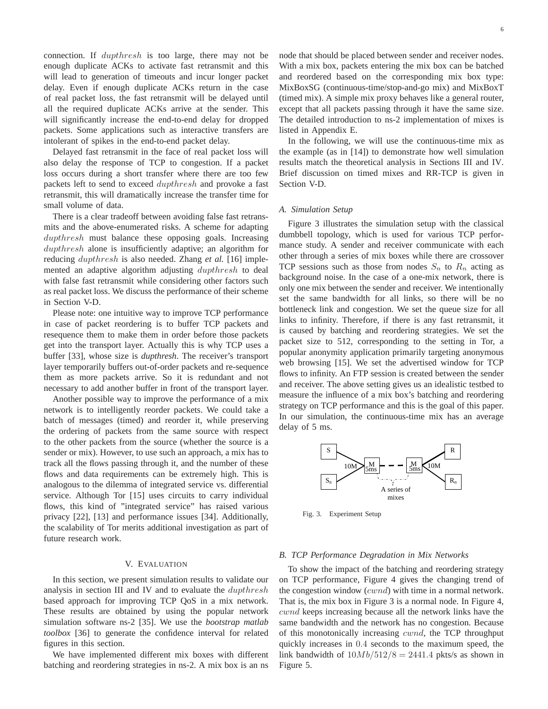connection. If dupthresh is too large, there may not be enough duplicate ACKs to activate fast retransmit and this will lead to generation of timeouts and incur longer packet delay. Even if enough duplicate ACKs return in the case of real packet loss, the fast retransmit will be delayed until all the required duplicate ACKs arrive at the sender. This will significantly increase the end-to-end delay for dropped packets. Some applications such as interactive transfers are intolerant of spikes in the end-to-end packet delay.

Delayed fast retransmit in the face of real packet loss will also delay the response of TCP to congestion. If a packet loss occurs during a short transfer where there are too few packets left to send to exceed dupthresh and provoke a fast retransmit, this will dramatically increase the transfer time for small volume of data.

There is a clear tradeoff between avoiding false fast retransmits and the above-enumerated risks. A scheme for adapting dupthresh must balance these opposing goals. Increasing dupthresh alone is insufficiently adaptive; an algorithm for reducing dupthresh is also needed. Zhang *et al.* [16] implemented an adaptive algorithm adjusting dupthresh to deal with false fast retransmit while considering other factors such as real packet loss. We discuss the performance of their scheme in Section V-D.

Please note: one intuitive way to improve TCP performance in case of packet reordering is to buffer TCP packets and resequence them to make them in order before those packets get into the transport layer. Actually this is why TCP uses a buffer [33], whose size is *dupthresh*. The receiver's transport layer temporarily buffers out-of-order packets and re-sequence them as more packets arrive. So it is redundant and not necessary to add another buffer in front of the transport layer.

Another possible way to improve the performance of a mix network is to intelligently reorder packets. We could take a batch of messages (timed) and reorder it, while preserving the ordering of packets from the same source with respect to the other packets from the source (whether the source is a sender or mix). However, to use such an approach, a mix has to track all the flows passing through it, and the number of these flows and data requirements can be extremely high. This is analogous to the dilemma of integrated service vs. differential service. Although Tor [15] uses circuits to carry individual flows, this kind of "integrated service" has raised various privacy [22], [13] and performance issues [34]. Additionally, the scalability of Tor merits additional investigation as part of future research work.

# V. EVALUATION

In this section, we present simulation results to validate our analysis in section III and IV and to evaluate the dupthresh based approach for improving TCP QoS in a mix network. These results are obtained by using the popular network simulation software ns-2 [35]. We use the *bootstrap matlab toolbox* [36] to generate the confidence interval for related figures in this section.

We have implemented different mix boxes with different batching and reordering strategies in ns-2. A mix box is an ns node that should be placed between sender and receiver nodes. With a mix box, packets entering the mix box can be batched and reordered based on the corresponding mix box type: MixBoxSG (continuous-time/stop-and-go mix) and MixBoxT (timed mix). A simple mix proxy behaves like a general router, except that all packets passing through it have the same size. The detailed introduction to ns-2 implementation of mixes is listed in Appendix E.

In the following, we will use the continuous-time mix as the example (as in [14]) to demonstrate how well simulation results match the theoretical analysis in Sections III and IV. Brief discussion on timed mixes and RR-TCP is given in Section V-D.

## *A. Simulation Setup*

Figure 3 illustrates the simulation setup with the classical dumbbell topology, which is used for various TCP performance study. A sender and receiver communicate with each other through a series of mix boxes while there are crossover TCP sessions such as those from nodes  $S_n$  to  $R_n$  acting as background noise. In the case of a one-mix network, there is only one mix between the sender and receiver. We intentionally set the same bandwidth for all links, so there will be no bottleneck link and congestion. We set the queue size for all links to infinity. Therefore, if there is any fast retransmit, it is caused by batching and reordering strategies. We set the packet size to 512, corresponding to the setting in Tor, a popular anonymity application primarily targeting anonymous web browsing [15]. We set the advertised window for TCP flows to infinity. An FTP session is created between the sender and receiver. The above setting gives us an idealistic testbed to measure the influence of a mix box's batching and reordering strategy on TCP performance and this is the goal of this paper. In our simulation, the continuous-time mix has an average delay of 5 ms.



Fig. 3. Experiment Setup

## *B. TCP Performance Degradation in Mix Networks*

To show the impact of the batching and reordering strategy on TCP performance, Figure 4 gives the changing trend of the congestion window (cwnd) with time in a normal network. That is, the mix box in Figure 3 is a normal node. In Figure 4, cwnd keeps increasing because all the network links have the same bandwidth and the network has no congestion. Because of this monotonically increasing cwnd, the TCP throughput quickly increases in 0.4 seconds to the maximum speed, the link bandwidth of  $10Mb/512/8 = 2441.4$  pkts/s as shown in Figure 5.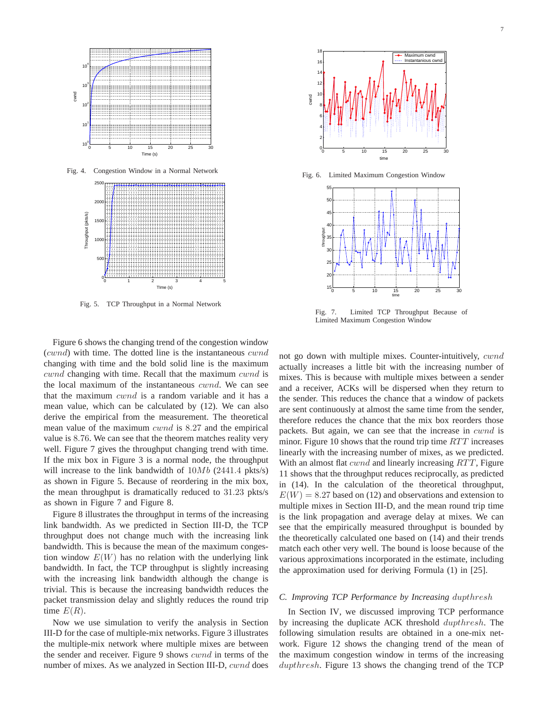

Fig. 5. TCP Throughput in a Normal Network

Figure 6 shows the changing trend of the congestion window (cwnd) with time. The dotted line is the instantaneous cwnd changing with time and the bold solid line is the maximum cwnd changing with time. Recall that the maximum cwnd is the local maximum of the instantaneous *cwnd*. We can see that the maximum cwnd is a random variable and it has a mean value, which can be calculated by (12). We can also derive the empirical from the measurement. The theoretical mean value of the maximum cwnd is 8.27 and the empirical value is 8.76. We can see that the theorem matches reality very well. Figure 7 gives the throughput changing trend with time. If the mix box in Figure 3 is a normal node, the throughput will increase to the link bandwidth of  $10Mb$  (2441.4 pkts/s) as shown in Figure 5. Because of reordering in the mix box, the mean throughput is dramatically reduced to 31.23 pkts/s as shown in Figure 7 and Figure 8.

Figure 8 illustrates the throughput in terms of the increasing link bandwidth. As we predicted in Section III-D, the TCP throughput does not change much with the increasing link bandwidth. This is because the mean of the maximum congestion window  $E(W)$  has no relation with the underlying link bandwidth. In fact, the TCP throughput is slightly increasing with the increasing link bandwidth although the change is trivial. This is because the increasing bandwidth reduces the packet transmission delay and slightly reduces the round trip time  $E(R)$ .

Now we use simulation to verify the analysis in Section III-D for the case of multiple-mix networks. Figure 3 illustrates the multiple-mix network where multiple mixes are between the sender and receiver. Figure 9 shows cwnd in terms of the number of mixes. As we analyzed in Section III-D, cwnd does



Fig. 6. Limited Maximum Congestion Window



Fig. 7. Limited TCP Throughput Because of Limited Maximum Congestion Window

not go down with multiple mixes. Counter-intuitively, *cwnd* actually increases a little bit with the increasing number of mixes. This is because with multiple mixes between a sender and a receiver, ACKs will be dispersed when they return to the sender. This reduces the chance that a window of packets are sent continuously at almost the same time from the sender, therefore reduces the chance that the mix box reorders those packets. But again, we can see that the increase in *cwnd* is minor. Figure 10 shows that the round trip time  $RTT$  increases linearly with the increasing number of mixes, as we predicted. With an almost flat  $cwnd$  and linearly increasing  $RTT$ , Figure 11 shows that the throughput reduces reciprocally, as predicted in (14). In the calculation of the theoretical throughput,  $E(W) = 8.27$  based on (12) and observations and extension to multiple mixes in Section III-D, and the mean round trip time is the link propagation and average delay at mixes. We can see that the empirically measured throughput is bounded by the theoretically calculated one based on (14) and their trends match each other very well. The bound is loose because of the various approximations incorporated in the estimate, including the approximation used for deriving Formula (1) in [25].

#### *C. Improving TCP Performance by Increasing* dupthresh

In Section IV, we discussed improving TCP performance by increasing the duplicate ACK threshold dupthresh. The following simulation results are obtained in a one-mix network. Figure 12 shows the changing trend of the mean of the maximum congestion window in terms of the increasing dupthresh. Figure 13 shows the changing trend of the TCP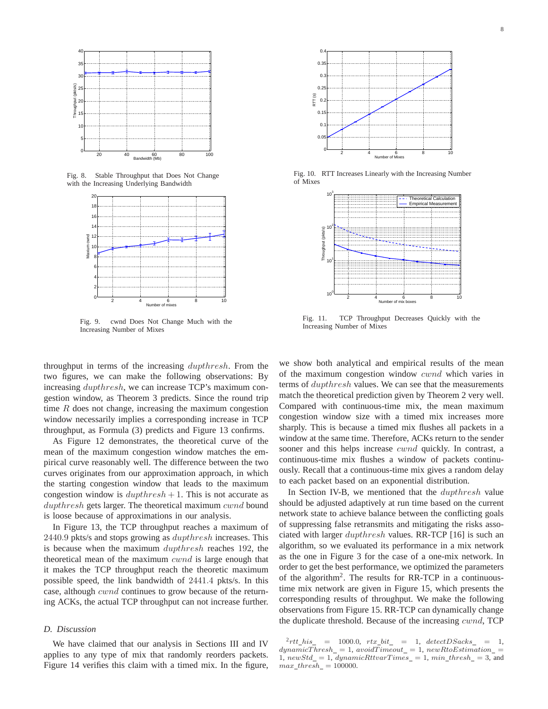

Fig. 8. Stable Throughput that Does Not Change with the Increasing Underlying Bandwidth



Fig. 9. cwnd Does Not Change Much with the Increasing Number of Mixes

throughput in terms of the increasing dupthresh. From the two figures, we can make the following observations: By increasing dupthresh, we can increase TCP's maximum congestion window, as Theorem 3 predicts. Since the round trip time  $R$  does not change, increasing the maximum congestion window necessarily implies a corresponding increase in TCP throughput, as Formula (3) predicts and Figure 13 confirms.

As Figure 12 demonstrates, the theoretical curve of the mean of the maximum congestion window matches the empirical curve reasonably well. The difference between the two curves originates from our approximation approach, in which the starting congestion window that leads to the maximum congestion window is  $dupthresh + 1$ . This is not accurate as dupthresh gets larger. The theoretical maximum cwnd bound is loose because of approximations in our analysis.

In Figure 13, the TCP throughput reaches a maximum of 2440.9 pkts/s and stops growing as dupthresh increases. This is because when the maximum dupthresh reaches 192, the theoretical mean of the maximum cwnd is large enough that it makes the TCP throughput reach the theoretic maximum possible speed, the link bandwidth of 2441.4 pkts/s. In this case, although cwnd continues to grow because of the returning ACKs, the actual TCP throughput can not increase further.

# *D. Discussion*

We have claimed that our analysis in Sections III and IV applies to any type of mix that randomly reorders packets. Figure 14 verifies this claim with a timed mix. In the figure,



Fig. 10. RTT Increases Linearly with the Increasing Number of Mixes



Fig. 11. TCP Throughput Decreases Quickly with the Increasing Number of Mixes

we show both analytical and empirical results of the mean of the maximum congestion window cwnd which varies in terms of *dupthresh* values. We can see that the measurements match the theoretical prediction given by Theorem 2 very well. Compared with continuous-time mix, the mean maximum congestion window size with a timed mix increases more sharply. This is because a timed mix flushes all packets in a window at the same time. Therefore, ACKs return to the sender sooner and this helps increase *cwnd* quickly. In contrast, a continuous-time mix flushes a window of packets continuously. Recall that a continuous-time mix gives a random delay to each packet based on an exponential distribution.

In Section IV-B, we mentioned that the *dupthresh* value should be adjusted adaptively at run time based on the current network state to achieve balance between the conflicting goals of suppressing false retransmits and mitigating the risks associated with larger *dupthresh* values. RR-TCP [16] is such an algorithm, so we evaluated its performance in a mix network as the one in Figure 3 for the case of a one-mix network. In order to get the best performance, we optimized the parameters of the algorithm<sup>2</sup>. The results for RR-TCP in a continuoustime mix network are given in Figure 15, which presents the corresponding results of throughput. We make the following observations from Figure 15. RR-TCP can dynamically change the duplicate threshold. Because of the increasing *cwnd*, TCP

 $^{2}rtt\_his = 1000.0, rtx\_bit = 1, detectDSacks = 1,$  $dynamicThresh_{ = 1, avoidTimeout_{ = 1, new RtoEstimation_{ = 2}$  $1, newStd = 1, dynamicRttvarTimes = 1, min\_thresh = 3, and$  $max\_thresh_ = 100000.$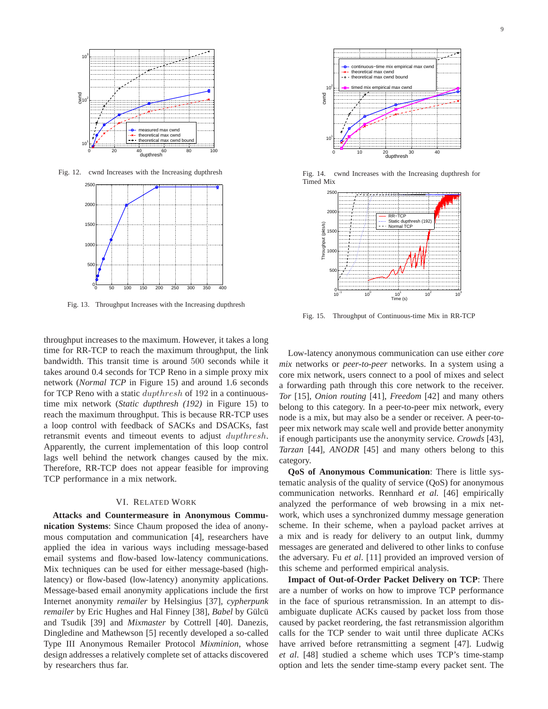

Fig. 12. cwnd Increases with the Increasing dupthresh



Fig. 13. Throughput Increases with the Increasing dupthresh

throughput increases to the maximum. However, it takes a long time for RR-TCP to reach the maximum throughput, the link bandwidth. This transit time is around 500 seconds while it takes around 0.4 seconds for TCP Reno in a simple proxy mix network (*Normal TCP* in Figure 15) and around 1.6 seconds for TCP Reno with a static *dupthresh* of 192 in a continuoustime mix network (*Static dupthresh (192)* in Figure 15) to reach the maximum throughput. This is because RR-TCP uses a loop control with feedback of SACKs and DSACKs, fast retransmit events and timeout events to adjust *dupthresh*. Apparently, the current implementation of this loop control lags well behind the network changes caused by the mix. Therefore, RR-TCP does not appear feasible for improving TCP performance in a mix network.

# VI. RELATED WORK

**Attacks and Countermeasure in Anonymous Communication Systems**: Since Chaum proposed the idea of anonymous computation and communication [4], researchers have applied the idea in various ways including message-based email systems and flow-based low-latency communications. Mix techniques can be used for either message-based (highlatency) or flow-based (low-latency) anonymity applications. Message-based email anonymity applications include the first Internet anonymity *remailer* by Helsingius [37], *cypherpunk remailer* by Eric Hughes and Hal Finney [38], *Babel* by Gülcü and Tsudik [39] and *Mixmaster* by Cottrell [40]. Danezis, Dingledine and Mathewson [5] recently developed a so-called Type III Anonymous Remailer Protocol *Mixminion*, whose design addresses a relatively complete set of attacks discovered by researchers thus far.



Fig. 14. cwnd Increases with the Increasing dupthresh for Timed Mix



Fig. 15. Throughput of Continuous-time Mix in RR-TCP

Low-latency anonymous communication can use either *core mix* networks or *peer-to-peer* networks. In a system using a core mix network, users connect to a pool of mixes and select a forwarding path through this core network to the receiver. *Tor* [15], *Onion routing* [41], *Freedom* [42] and many others belong to this category. In a peer-to-peer mix network, every node is a mix, but may also be a sender or receiver. A peer-topeer mix network may scale well and provide better anonymity if enough participants use the anonymity service. *Crowds* [43], *Tarzan* [44], *ANODR* [45] and many others belong to this category.

**QoS of Anonymous Communication**: There is little systematic analysis of the quality of service (QoS) for anonymous communication networks. Rennhard *et al.* [46] empirically analyzed the performance of web browsing in a mix network, which uses a synchronized dummy message generation scheme. In their scheme, when a payload packet arrives at a mix and is ready for delivery to an output link, dummy messages are generated and delivered to other links to confuse the adversary. Fu *et al*. [11] provided an improved version of this scheme and performed empirical analysis.

**Impact of Out-of-Order Packet Delivery on TCP**: There are a number of works on how to improve TCP performance in the face of spurious retransmission. In an attempt to disambiguate duplicate ACKs caused by packet loss from those caused by packet reordering, the fast retransmission algorithm calls for the TCP sender to wait until three duplicate ACKs have arrived before retransmitting a segment [47]. Ludwig *et al*. [48] studied a scheme which uses TCP's time-stamp option and lets the sender time-stamp every packet sent. The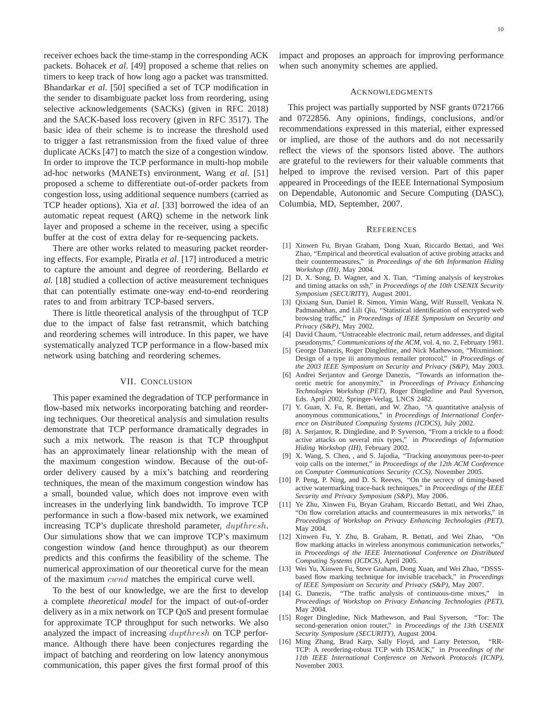receiver echoes back the time-stamp in the corresponding ACK packets. Bohacek *et al*. [49] proposed a scheme that relies on timers to keep track of how long ago a packet was transmitted. Bhandarkar *et al*. [50] specified a set of TCP modification in the sender to disambiguate packet loss from reordering, using selective acknowledgements (SACKs) (given in RFC 2018) and the SACK-based loss recovery (given in RFC 3517). The basic idea of their scheme is to increase the threshold used to trigger a fast retransmission from the fixed value of three duplicate ACKs [47] to match the size of a congestion window. In order to improve the TCP performance in multi-hop mobile ad-hoc networks (MANETs) environment, Wang *et al*. [51] proposed a scheme to differentiate out-of-order packets from congestion loss, using additional sequence numbers (carried as TCP header options). Xia *et al*. [33] borrowed the idea of an automatic repeat request (ARQ) scheme in the network link layer and proposed a scheme in the receiver, using a specific buffer at the cost of extra delay for re-sequencing packets.

There are other works related to measuring packet reordering effects. For example, Piratla *et al*. [17] introduced a metric to capture the amount and degree of reordering. Bellardo *et al.* [18] studied a collection of active measurement techniques that can potentially estimate one-way end-to-end reordering rates to and from arbitrary TCP-based servers.

There is little theoretical analysis of the throughput of TCP due to the impact of false fast retransmit, which batching and reordering schemes will introduce. In this paper, we have systematically analyzed TCP performance in a flow-based mix network using batching and reordering schemes.

#### VII. CONCLUSION

This paper examined the degradation of TCP performance in flow-based mix networks incorporating batching and reordering techniques. Our theoretical analysis and simulation results demonstrate that TCP performance dramatically degrades in such a mix network. The reason is that TCP throughput has an approximately linear relationship with the mean of the maximum congestion window. Because of the out-oforder delivery caused by a mix's batching and reordering techniques, the mean of the maximum congestion window has a small, bounded value, which does not improve even with increases in the underlying link bandwidth. To improve TCP performance in such a flow-based mix network, we examined increasing TCP's duplicate threshold parameter, dupthresh. Our simulations show that we can improve TCP's maximum congestion window (and hence throughput) as our theorem predicts and this confirms the feasibility of the scheme. The numerical approximation of our theoretical curve for the mean of the maximum cwnd matches the empirical curve well.

To the best of our knowledge, we are the first to develop a complete *theoretical model* for the impact of out-of-order delivery as in a mix network on TCP QoS and present formulae for approximate TCP throughput for such networks. We also analyzed the impact of increasing *dupthresh* on TCP performance. Although there have been conjectures regarding the impact of batching and reordering on low latency anonymous communication, this paper gives the first formal proof of this

impact and proposes an approach for improving performance when such anonymity schemes are applied.

## ACKNOWLEDGMENTS

This project was partially supported by NSF grants 0721766 and 0722856. Any opinions, findings, conclusions, and/or recommendations expressed in this material, either expressed or implied, are those of the authors and do not necessarily reflect the views of the sponsors listed above. The authors are grateful to the reviewers for their valuable comments that helped to improve the revised version. Part of this paper appeared in Proceedings of the IEEE International Symposium on Dependable, Autonomic and Secure Computing (DASC), Columbia, MD, September, 2007.

#### **REFERENCES**

- [1] Xinwen Fu, Bryan Graham, Dong Xuan, Riccardo Bettati, and Wei Zhao, "Empirical and theoretical evaluation of active probing attacks and their countermeasures," in *Proceedings of the 6th Information Hiding Workshop (IH)*, May 2004.
- [2] D. X. Song, D. Wagner, and X. Tian, "Timing analysis of keystrokes and timing attacks on ssh," in *Proceedings of the 10th USENIX Security Symposium (SECURITY)*, August 2001.
- [3] Qixiang Sun, Daniel R. Simon, Yimin Wang, Wilf Russell, Venkata N. Padmanabhan, and Lili Qiu, "Statistical identification of encrypted web browsing traffic," in *Proceedings of IEEE Symposium on Security and Privacy (S&P)*, May 2002.
- [4] David Chaum, "Untraceable electronic mail, return addresses, and digital pseudonyms," *Communications of the ACM*, vol. 4, no. 2, February 1981.
- [5] George Danezis, Roger Dingledine, and Nick Mathewson, "Mixminion: Design of a type iii anonymous remailer protocol," in *Proceedings of the 2003 IEEE Symposium on Security and Privacy (S&P)*, May 2003.
- [6] Andrei Serjantov and George Danezis, "Towards an information theoretic metric for anonymity," in *Proceedings of Privacy Enhancing Technologies Workshop (PET)*, Roger Dingledine and Paul Syverson, Eds. April 2002, Springer-Verlag, LNCS 2482.
- [7] Y. Guan, X. Fu, R. Bettati, and W. Zhao, "A quantitative analysis of anonymous communications," in *Proceedings of International Conference on Distributed Computing Systems (ICDCS)*, July 2002.
- [8] A. Serjantov, R. Dingledine, and P. Syverson, "From a trickle to a flood: active attacks on several mix types," in *Proceedings of Information Hiding Workshop (IH)*, February 2002.
- [9] X. Wang, S. Chen, , and S. Jajodia, "Tracking anonymous peer-to-peer voip calls on the internet," in *Proceedings of the 12th ACM Conference on Computer Communications Security (CCS)*, November 2005.
- [10] P. Peng, P. Ning, and D. S. Reeves, "On the secrecy of timing-based active watermarking trace-back techniques," in *Proceedings of the IEEE Security and Privacy Symposium (S&P)*, May 2006.
- [11] Ye Zhu, Xinwen Fu, Bryan Graham, Riccardo Bettati, and Wei Zhao, "On flow correlation attacks and countermeasures in mix networks," in *Proceedings of Workshop on Privacy Enhancing Technologies (PET)*, May 2004.
- [12] Xinwen Fu, Y. Zhu, B. Graham, R. Bettati, and Wei Zhao, "On flow marking attacks in wireless anonymous communication networks," in *Proceedings of the IEEE International Conference on Distributed Computing Systems (ICDCS)*, April 2005.
- [13] Wei Yu, Xinwen Fu, Steve Graham, Dong Xuan, and Wei Zhao, "DSSSbased flow marking technique for invisible traceback," in *Proceedings of IEEE Symposium on Security and Privacy (S&P)*, May 2007.
- [14] G. Danezis, "The traffic analysis of continuous-time mixes," *Proceedings of Workshop on Privacy Enhancing Technologies (PET)*, May 2004.
- [15] Roger Dingledine, Nick Mathewson, and Paul Syverson, "Tor: The second-generation onion router," in *Proceedings of the 13th USENIX Security Symposium (SECURITY)*, August 2004.
- [16] Ming Zhang, Brad Karp, Sally Floyd, and Larry Peterson, "RR-TCP: A reordering-robust TCP with DSACK," in *Proceedings of the 11th IEEE International Conference on Network Protocols (ICNP)*, November 2003.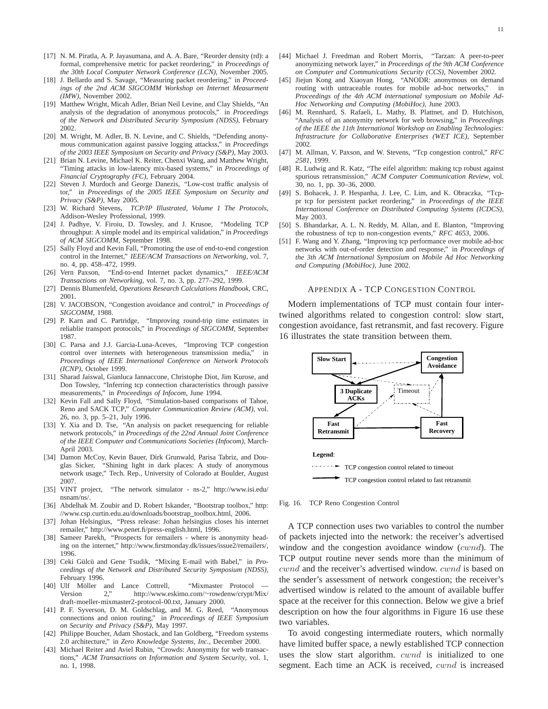- [17] N. M. Piratla, A. P. Jayasumana, and A. A. Bare, "Reorder density (rd): a formal, comprehensive metric for packet reordering," in *Proceedings of the 30th Local Computer Network Conference (LCN)*, November 2005.
- [18] J. Bellardo and S. Savage, "Measuring packet reordering," in *Proceedings of the 2nd ACM SIGCOMM Workshop on Internet Measurment (IMW)*, November 2002.
- [19] Matthew Wright, Micah Adler, Brian Neil Levine, and Clay Shields, "An analysis of the degradation of anonymous protocols," in *Proceedings of the Network and Distributed Security Symposium (NDSS)*, February 2002.
- [20] M. Wright, M. Adler, B. N. Levine, and C. Shields, "Defending anonymous communication against passive logging attackss," in *Proceedings of the 2003 IEEE Symposium on Security and Privacy (S&P)*, May 2003.
- [21] Brian N. Levine, Michael K. Reiter, Chenxi Wang, and Matthew Wright, "Timing attacks in low-latency mix-based systems," in *Proceedings of Financial Cryptography (FC)*, February 2004.
- [22] Steven J. Murdoch and George Danezis, "Low-cost traffic analysis of tor," in *Proceedings of the 2005 IEEE Symposium on Security and Privacy (S&P)*, May 2005.
- [23] W. Richard Stevens, *TCP/IP Illustrated, Volume 1 The Protocols*, Addison-Wesley Professional, 1999.
- [24] J. Padhye, V. Firoiu, D. Towsley, and J. Krusoe, "Modeling TCP throughput: A simple model and its empirical validation," in *Proceedings of ACM SIGCOMM*, September 1998.
- [25] Sally Floyd and Kevin Fall, "Promoting the use of end-to-end congestion control in the Internet," *IEEE/ACM Transactions on Networking*, vol. 7, no. 4, pp. 458–472, 1999.
- [26] Vern Paxson, "End-to-end Internet packet dynamics," *IEEE/ACM Transactions on Networking*, vol. 7, no. 3, pp. 277–292, 1999.
- [27] Dennis Blumenfeld, *Operations Research Calculations Handbook*, CRC, 2001.
- [28] V. JACOBSON, "Congestion avoidance and control," in *Proceedings of SIGCOMM*, 1988.
- [29] P. Karn and C. Partridge, "Improving round-trip time estimates in reliablie transport protocols," in *Proceedings of SIGCOMM*, September 1987.
- [30] C. Parsa and J.J. Garcia-Luna-Aceves, "Improving TCP congestion control over internets with heterogeneous transmission media," in *Proceedings of IEEE International Conference on Network Protocols (ICNP)*, October 1999.
- [31] Sharad Jaiswal, Gianluca Iannaccone, Christophe Diot, Jim Kurose, and Don Towsley, "Inferring tcp connection characteristics through passive measurements," in *Proceedings of Infocom*, June 1994.
- [32] Kevin Fall and Sally Floyd, "Simulation-based comparisons of Tahoe, Reno and SACK TCP," *Computer Communication Review (ACM)*, vol. 26, no. 3, pp. 5–21, July 1996.
- [33] Y. Xia and D. Tse, "An analysis on packet resequencing for reliable network protocols," in *Proceedings of the 22nd Annual Joint Conference of the IEEE Computer and Communications Societies (Infocom)*, March-April 2003.
- [34] Damon McCoy, Kevin Bauer, Dirk Grunwald, Parisa Tabriz, and Douglas Sicker, "Shining light in dark places: A study of anonymous network usage," Tech. Rep., University of Colorado at Boulder, August 2007.
- [35] VINT project, "The network simulator ns-2," http://www.isi.edu/ nsnam/ns/.
- [36] Abdelhak M. Zoubir and D. Robert Iskander, "Bootstrap toolbox," http: //www.csp.curtin.edu.au/downloads/bootstrap\_toolbox.html, 2006.
- [37] Johan Helsingius, "Press release: Johan helsingius closes his internet remailer," http://www.penet.fi/press-english.html, 1996.
- [38] Sameer Parekh, "Prospects for remailers where is anonymity heading on the internet," http://www.firstmonday.dk/issues/issue2/remailers/, 1996.
- [39] Ceki Gülcü and Gene Tsudik, "Mixing E-mail with Babel," in Pro*ceedings of the Network and Distributed Security Symposium (NDSS)*, February 1996.
- [40] Ulf Möller and Lance Cottrell, "Mixmaster Protocol Version 2." http://www.eskimo.com/~rowdenw/crypt/ Version 2," http://www.eskimo.com/∼rowdenw/crypt/Mix/ draft-moeller-mixmaster2-protocol-00.txt, January 2000.
- [41] P. F. Syverson, D. M. Goldschlag, and M. G. Reed, "Anonymous connections and onion routing," in *Proceedings of IEEE Symposium on Security and Privacy (S&P)*, May 1997.
- [42] Philippe Boucher, Adam Shostack, and Ian Goldberg, "Freedom systems 2.0 architecture," in *Zero Knowledge Systems, Inc.*, December 2000.
- [43] Michael Reiter and Aviel Rubin, "Crowds: Anonymity for web transactions," *ACM Transactions on Information and System Security*, vol. 1, no. 1, 1998.
- [44] Michael J. Freedman and Robert Morris, "Tarzan: A peer-to-peer anonymizing network layer," in *Proceedings of the 9th ACM Conference on Computer and Communications Security (CCS)*, November 2002.
- [45] Jiejun Kong and Xiaoyan Hong, "ANODR: anonymous on demand routing with untraceable routes for mobile ad-hoc networks," in *Proceedings of the 4th ACM international symposium on Mobile Ad-Hoc Networking and Computing (MobiHoc)*, June 2003.
- [46] M. Rennhard, S. Rafaeli, L. Mathy, B. Plattnet, and D. Hutchison, "Analysis of an anonymity network for web browsing," in *Proceedings of the IEEE the 11th International Workshop on Enabling Technologies: Infrastructure for Collaborative Enterprises (WET ICE)*, September 2002.
- [47] M. Allman, V. Paxson, and W. Stevens, "Tcp congestion control," *RFC 2581*, 1999.
- [48] R. Ludwig and R. Katz, "The eifel algorithm: making tcp robust against spurious retransmission," *ACM Computer Communication Review*, vol. 30, no. 1, pp. 30–36, 2000.
- [49] S. Bohacek, J. P. Hespanha, J. Lee, C. Lim, and K. Obraczka, "Tcppr tcp for persistent packet reordering," in *Proceedings of the IEEE International Conference on Distributed Computing Systems (ICDCS)*, May 2003.
- [50] S. Bhandarkar, A. L. N. Reddy, M. Allan, and E. Blanton, "Improving the robustness of tcp to non-congestion events," *RFC 4653*, 2006.
- [51] F. Wang and Y. Zhang, "Improving tcp performance over mobile ad-hoc networks with out-of-order detection and response," in *Proceedings of the 3th ACM International Symposium on Mobile Ad Hoc Networking and Computing (MobiHoc)*, June 2002.

## APPENDIX A - TCP CONGESTION CONTROL

Modern implementations of TCP must contain four intertwined algorithms related to congestion control: slow start, congestion avoidance, fast retransmit, and fast recovery. Figure 16 illustrates the state transition between them.



Fig. 16. TCP Reno Congestion Control

A TCP connection uses two variables to control the number of packets injected into the network: the receiver's advertised window and the congestion avoidance window (*cwnd*). The TCP output routine never sends more than the minimum of cwnd and the receiver's advertised window. cwnd is based on the sender's assessment of network congestion; the receiver's advertised window is related to the amount of available buffer space at the receiver for this connection. Below we give a brief description on how the four algorithms in Figure 16 use these two variables.

To avoid congesting intermediate routers, which normally have limited buffer space, a newly established TCP connection uses the slow start algorithm. *cwnd* is initialized to one segment. Each time an ACK is received, cwnd is increased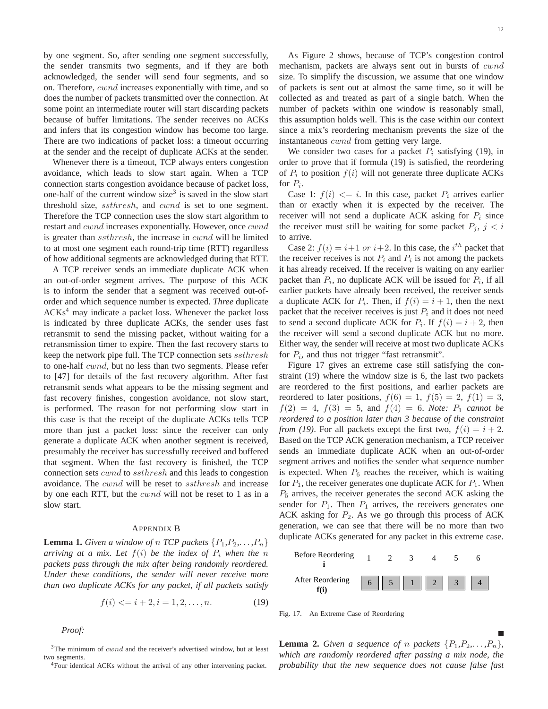by one segment. So, after sending one segment successfully, the sender transmits two segments, and if they are both acknowledged, the sender will send four segments, and so on. Therefore, cwnd increases exponentially with time, and so does the number of packets transmitted over the connection. At some point an intermediate router will start discarding packets because of buffer limitations. The sender receives no ACKs and infers that its congestion window has become too large. There are two indications of packet loss: a timeout occurring at the sender and the receipt of duplicate ACKs at the sender.

Whenever there is a timeout, TCP always enters congestion avoidance, which leads to slow start again. When a TCP connection starts congestion avoidance because of packet loss, one-half of the current window size<sup>3</sup> is saved in the slow start threshold size, ssthresh, and cwnd is set to one segment. Therefore the TCP connection uses the slow start algorithm to restart and *cwnd* increases exponentially. However, once *cwnd* is greater than *ssthresh*, the increase in *cwnd* will be limited to at most one segment each round-trip time (RTT) regardless of how additional segments are acknowledged during that RTT.

A TCP receiver sends an immediate duplicate ACK when an out-of-order segment arrives. The purpose of this ACK is to inform the sender that a segment was received out-oforder and which sequence number is expected. *Three* duplicate ACKs<sup>4</sup> may indicate a packet loss. Whenever the packet loss is indicated by three duplicate ACKs, the sender uses fast retransmit to send the missing packet, without waiting for a retransmission timer to expire. Then the fast recovery starts to keep the network pipe full. The TCP connection sets ssthresh to one-half cwnd, but no less than two segments. Please refer to [47] for details of the fast recovery algorithm. After fast retransmit sends what appears to be the missing segment and fast recovery finishes, congestion avoidance, not slow start, is performed. The reason for not performing slow start in this case is that the receipt of the duplicate ACKs tells TCP more than just a packet loss: since the receiver can only generate a duplicate ACK when another segment is received, presumably the receiver has successfully received and buffered that segment. When the fast recovery is finished, the TCP connection sets cwnd to ssthresh and this leads to congestion avoidance. The cwnd will be reset to ssthresh and increase by one each RTT, but the *cwnd* will not be reset to 1 as in a slow start.

#### APPENDIX B

**Lemma 1.** *Given a window of n TCP packets*  $\{P_1, P_2, \ldots, P_n\}$ *arriving at a mix. Let*  $f(i)$  *be the index of*  $P_i$  *when the n packets pass through the mix after being randomly reordered. Under these conditions, the sender will never receive more than two duplicate ACKs for any packet, if all packets satisfy*

$$
f(i) \le i + 2, i = 1, 2, \dots, n. \tag{19}
$$

*Proof:*

 $3$ The minimum of  $cwnd$  and the receiver's advertised window, but at least two segments.

<sup>4</sup>Four identical ACKs without the arrival of any other intervening packet.

As Figure 2 shows, because of TCP's congestion control mechanism, packets are always sent out in bursts of cwnd size. To simplify the discussion, we assume that one window of packets is sent out at almost the same time, so it will be collected as and treated as part of a single batch. When the number of packets within one window is reasonably small, this assumption holds well. This is the case within our context since a mix's reordering mechanism prevents the size of the instantaneous cwnd from getting very large.

We consider two cases for a packet  $P_i$  satisfying (19), in order to prove that if formula (19) is satisfied, the reordering of  $P_i$  to position  $f(i)$  will not generate three duplicate ACKs for  $P_i$ .

Case 1:  $f(i) \leq i$ . In this case, packet  $P_i$  arrives earlier than or exactly when it is expected by the receiver. The receiver will not send a duplicate ACK asking for  $P_i$  since the receiver must still be waiting for some packet  $P_i$ ,  $j < i$ to arrive.

Case 2:  $f(i) = i+1$  or  $i+2$ . In this case, the  $i<sup>th</sup>$  packet that the receiver receives is not  $P_i$  and  $P_i$  is not among the packets it has already received. If the receiver is waiting on any earlier packet than  $P_i$ , no duplicate ACK will be issued for  $P_i$ , if all earlier packets have already been received, the receiver sends a duplicate ACK for  $P_i$ . Then, if  $f(i) = i + 1$ , then the next packet that the receiver receives is just  $P_i$  and it does not need to send a second duplicate ACK for  $P_i$ . If  $f(i) = i + 2$ , then the receiver will send a second duplicate ACK but no more. Either way, the sender will receive at most two duplicate ACKs for  $P_i$ , and thus not trigger "fast retransmit".

Figure 17 gives an extreme case still satisfying the constraint (19) where the window size is 6, the last two packets are reordered to the first positions, and earlier packets are reordered to later positions,  $f(6) = 1$ ,  $f(5) = 2$ ,  $f(1) = 3$ ,  $f(2) = 4$ ,  $f(3) = 5$ , and  $f(4) = 6$ . *Note:*  $P_1$  *cannot be reordered to a position later than 3 because of the constraint from (19)*. For all packets except the first two,  $f(i) = i + 2$ . Based on the TCP ACK generation mechanism, a TCP receiver sends an immediate duplicate ACK when an out-of-order segment arrives and notifies the sender what sequence number is expected. When  $P_6$  reaches the receiver, which is waiting for  $P_1$ , the receiver generates one duplicate ACK for  $P_1$ . When  $P_5$  arrives, the receiver generates the second ACK asking the sender for  $P_1$ . Then  $P_1$  arrives, the receivers generates one ACK asking for  $P_2$ . As we go through this process of ACK generation, we can see that there will be no more than two duplicate ACKs generated for any packet in this extreme case.



Fig. 17. An Extreme Case of Reordering

**Lemma 2.** *Given a sequence of n packets*  $\{P_1, P_2, \ldots, P_n\}$ *, which are randomly reordered after passing a mix node, the probability that the new sequence does not cause false fast*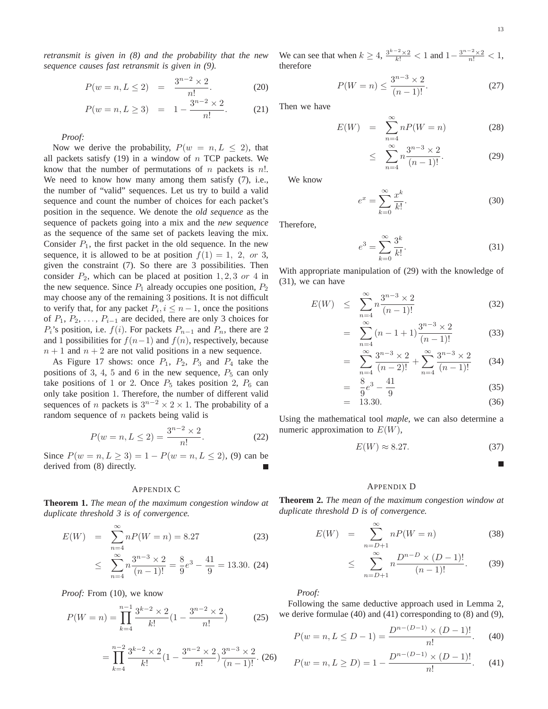*retransmit is given in (8) and the probability that the new sequence causes fast retransmit is given in (9).*

$$
P(w = n, L \le 2) = \frac{3^{n-2} \times 2}{n!}.
$$
 (20)

$$
P(w=n, L \ge 3) = 1 - \frac{3^{n-2} \times 2}{n!}.
$$
 (21)

*Proof:*

Now we derive the probability,  $P(w = n, L \le 2)$ , that all packets satisfy  $(19)$  in a window of n TCP packets. We know that the number of permutations of  $n$  packets is  $n!$ . We need to know how many among them satisfy  $(7)$ , i.e., the number of "valid" sequences. Let us try to build a valid sequence and count the number of choices for each packet's position in the sequence. We denote the *old sequence* as the sequence of packets going into a mix and the *new sequence* as the sequence of the same set of packets leaving the mix. Consider  $P_1$ , the first packet in the old sequence. In the new sequence, it is allowed to be at position  $f(1) = 1$ , 2, or 3, given the constraint (7). So there are 3 possibilities. Then consider  $P_2$ , which can be placed at position 1, 2, 3 or 4 in the new sequence. Since  $P_1$  already occupies one position,  $P_2$ may choose any of the remaining 3 positions. It is not difficult to verify that, for any packet  $P_i$ ,  $i \leq n-1$ , once the positions of  $P_1, P_2, \ldots, P_{i-1}$  are decided, there are only 3 choices for  $P_i$ 's position, i.e.  $f(i)$ . For packets  $P_{n-1}$  and  $P_n$ , there are 2 and 1 possibilities for  $f(n-1)$  and  $f(n)$ , respectively, because  $n + 1$  and  $n + 2$  are not valid positions in a new sequence.

As Figure 17 shows: once  $P_1$ ,  $P_2$ ,  $P_3$  and  $P_4$  take the positions of 3, 4, 5 and 6 in the new sequence,  $P_5$  can only take positions of 1 or 2. Once  $P_5$  takes position 2,  $P_6$  can only take position 1. Therefore, the number of different valid sequences of *n* packets is  $3^{n-2} \times 2 \times 1$ . The probability of a random sequence of  $n$  packets being valid is

$$
P(w = n, L \le 2) = \frac{3^{n-2} \times 2}{n!}.
$$
 (22)

Since  $P(w = n, L \ge 3) = 1 - P(w = n, L \le 2)$ , (9) can be derived from (8) directly.

#### APPENDIX C

**Theorem 1.** *The mean of the maximum congestion window at duplicate threshold 3 is of convergence.*

$$
E(W) = \sum_{n=4}^{\infty} nP(W = n) = 8.27
$$
 (23)

$$
\leq \sum_{n=4}^{\infty} n \frac{3^{n-3} \times 2}{(n-1)!} = \frac{8}{9} e^3 - \frac{41}{9} = 13.30. \tag{24}
$$

*Proof:* From (10), we know

$$
P(W = n) = \prod_{k=4}^{n-1} \frac{3^{k-2} \times 2}{k!} \left(1 - \frac{3^{n-2} \times 2}{n!}\right) \tag{25}
$$

$$
= \prod_{k=4}^{n-2} \frac{3^{k-2} \times 2}{k!} \left(1 - \frac{3^{n-2} \times 2}{n!}\right) \frac{3^{n-3} \times 2}{(n-1)!}.
$$
 (26)

We can see that when  $k \ge 4$ ,  $\frac{3^{k-2} \times 2}{k!} < 1$  and  $1 - \frac{3^{n-2} \times 2}{n!} < 1$ , therefore

$$
P(W = n) \le \frac{3^{n-3} \times 2}{(n-1)!}.
$$
 (27)

Then we have

$$
E(W) = \sum_{n=4}^{\infty} nP(W = n)
$$
 (28)

$$
\leq \sum_{n=4}^{\infty} n \frac{3^{n-3} \times 2}{(n-1)!}.
$$
 (29)

We know

$$
e^x = \sum_{k=0}^{\infty} \frac{x^k}{k!}.
$$
 (30)

Therefore,

$$
e^3 = \sum_{k=0}^{\infty} \frac{3^k}{k!}.
$$
 (31)

With appropriate manipulation of (29) with the knowledge of (31), we can have

$$
E(W) \leq \sum_{n=4}^{\infty} n \frac{3^{n-3} \times 2}{(n-1)!}
$$
 (32)

$$
= \sum_{n=4}^{\infty} (n-1+1) \frac{3^{n-3} \times 2}{(n-1)!}
$$
 (33)

$$
= \sum_{n=4}^{\infty} \frac{3^{n-3} \times 2}{(n-2)!} + \sum_{n=4}^{\infty} \frac{3^{n-3} \times 2}{(n-1)!}
$$
 (34)

$$
= \frac{8}{9}e^3 - \frac{41}{9} \tag{35}
$$

$$
= 13.30. \t(36)
$$

Using the mathematical tool *maple*, we can also determine a numeric approximation to  $E(W)$ ,

$$
E(W) \approx 8.27. \tag{37}
$$

$$
\mathcal{C}^{\mathcal{A}}_{\mathcal{A}}
$$

## APPENDIX D

**Theorem 2.** *The mean of the maximum congestion window at duplicate threshold D is of convergence.*

$$
E(W) = \sum_{n=D+1}^{\infty} nP(W=n)
$$
\n(38)

$$
\leq \sum_{n=D+1}^{\infty} n \frac{D^{n-D} \times (D-1)!}{(n-1)!}.
$$
 (39)

*Proof:*

Following the same deductive approach used in Lemma 2, we derive formulae (40) and (41) corresponding to (8) and (9),

$$
P(w = n, L \le D - 1) = \frac{D^{n - (D - 1)} \times (D - 1)!}{n!}.
$$
 (40)

$$
P(w = n, L \ge D) = 1 - \frac{D^{n - (D - 1)} \times (D - 1)!}{n!}.
$$
 (41)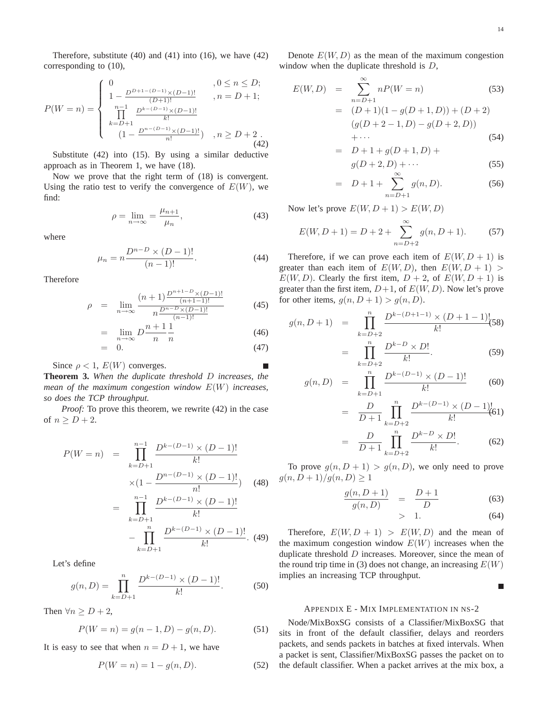Therefore, substitute  $(40)$  and  $(41)$  into  $(16)$ , we have  $(42)$ corresponding to (10),

$$
P(W = n) = \begin{cases} 0 & , 0 \le n \le D; \\ 1 - \frac{D^{D+1-(D-1)} \times (D-1)!}{(D+1)!} & , n = D+1; \\ \prod_{k=D+1}^{n-1} \frac{D^{k-(D-1)} \times (D-1)!}{k!} & , n \ge D+2 \\ (1 - \frac{D^{n-(D-1)} \times (D-1)!}{n!}) & , n \ge D+2. \end{cases}
$$
(42)

Substitute (42) into (15). By using a similar deductive approach as in Theorem 1, we have (18).

Now we prove that the right term of (18) is convergent. Using the ratio test to verify the convergence of  $E(W)$ , we find:

$$
\rho = \lim_{n \to \infty} = \frac{\mu_{n+1}}{\mu_n},\tag{43}
$$

where

$$
\mu_n = n \frac{D^{n-D} \times (D-1)!}{(n-1)!}.
$$
\n(44)

Therefore

$$
\rho = \lim_{n \to \infty} \frac{(n+1)\frac{D^{n+1-D} \times (D-1)!}{(n+1-1)!}}{n \frac{D^{n-D} \times (D-1)!}{(n-1)!}}
$$
(45)

$$
= \lim_{n \to \infty} D \frac{n+1}{n} \frac{1}{n}
$$
 (46)

$$
= 0. \t(47)
$$

Since  $\rho < 1$ ,  $E(W)$  converges. **Theorem 3.** *When the duplicate threshold* D *increases, the mean of the maximum congestion window* E(W) *increases, so does the TCP throughput.*

*Proof:* To prove this theorem, we rewrite (42) in the case of  $n > D + 2$ .

$$
P(W = n) = \prod_{k=D+1}^{n-1} \frac{D^{k-(D-1)} \times (D-1)!}{k!}
$$
  

$$
\times (1 - \frac{D^{n-(D-1)} \times (D-1)!}{n!})
$$
(48)  

$$
= \prod_{k=D+1}^{n-1} \frac{D^{k-(D-1)} \times (D-1)!}{k!}
$$
  

$$
- \prod_{k=D+1}^{n} \frac{D^{k-(D-1)} \times (D-1)!}{k!}.
$$
(49)

Let's define

$$
g(n,D) = \prod_{k=D+1}^{n} \frac{D^{k-(D-1)} \times (D-1)!}{k!}.
$$
 (50)

Then  $\forall n \geq D+2$ ,

$$
P(W = n) = g(n - 1, D) - g(n, D).
$$
 (51)

It is easy to see that when  $n = D + 1$ , we have

$$
P(W = n) = 1 - g(n, D).
$$
 (52)

Denote  $E(W, D)$  as the mean of the maximum congestion window when the duplicate threshold is  $D$ ,

$$
E(W, D) = \sum_{n=D+1}^{\infty} nP(W = n)
$$
(53)  
= (D+1)(1 - g(D + 1, D)) + (D + 2)  
(g(D + 2 - 1, D) - g(D + 2, D))  
+ \cdots (54)

$$
= D + 1 + g(D + 1, D) +
$$

$$
g(D+2, D) + \cdots
$$
 (55)

$$
= D + 1 + \sum_{n=D+1}^{\infty} g(n, D).
$$
 (56)

Now let's prove  $E(W, D + 1) > E(W, D)$ 

$$
E(W, D+1) = D + 2 + \sum_{n=D+2}^{\infty} g(n, D+1).
$$
 (57)

Therefore, if we can prove each item of  $E(W, D + 1)$  is greater than each item of  $E(W, D)$ , then  $E(W, D + 1)$  $E(W, D)$ . Clearly the first item,  $D + 2$ , of  $E(W, D + 1)$  is greater than the first item,  $D+1$ , of  $E(W, D)$ . Now let's prove for other items,  $g(n, D + 1) > g(n, D)$ .

$$
g(n, D+1) = \prod_{k=D+2}^{n} \frac{D^{k-(D+1-1)} \times (D+1-1)!}{k!} (58)
$$

$$
= \prod_{k=D+2}^{n} \frac{D^{k-D} \times D!}{k!}.
$$

$$
= \prod_{k=D+2} \frac{k!}{k!}.
$$
 (59)

$$
g(n,D) = \prod_{k=D+1}^{n} \frac{D^{k-(D-1)} \times (D-1)!}{k!}
$$
 (60)

$$
= \frac{D}{D+1} \prod_{k=D+2}^{n} \frac{D^{k-(D-1)} \times (D-1)!}{k!} (61)
$$

$$
= \frac{D}{\prod_{k=0}^{n} \frac{D^{k-D} \times D!}{k!}}.
$$
 (62)

$$
= \frac{D}{D+1} \prod_{k=D+2} \frac{D^{k-D} \times D!}{k!}.
$$
 (62)

To prove  $g(n, D + 1) > g(n, D)$ , we only need to prove  $g(n, D + 1)/g(n, D) \ge 1$ 

$$
\frac{g(n, D+1)}{g(n, D)} = \frac{D+1}{D} \tag{63}
$$

$$
> 1. \t(64)
$$

Therefore,  $E(W, D + 1) > E(W, D)$  and the mean of the maximum congestion window  $E(W)$  increases when the duplicate threshold  $D$  increases. Moreover, since the mean of the round trip time in (3) does not change, an increasing  $E(W)$ implies an increasing TCP throughput.

П

# APPENDIX E - MIX IMPLEMENTATION IN NS-2

Node/MixBoxSG consists of a Classifier/MixBoxSG that sits in front of the default classifier, delays and reorders packets, and sends packets in batches at fixed intervals. When a packet is sent, Classifier/MixBoxSG passes the packet on to the default classifier. When a packet arrives at the mix box, a